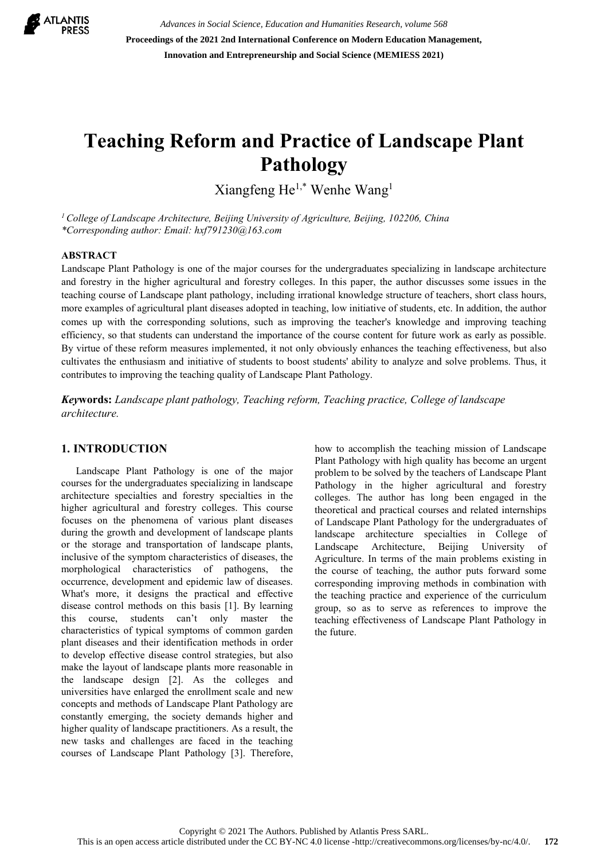

*Advances in Social Science, Education and Humanities Research, volume 568* **Proceedings of the 2021 2nd International Conference on Modern Education Management, Innovation and Entrepreneurship and Social Science (MEMIESS 2021)**

# **Teaching Reform and Practice of Landscape Plant Pathology**

Xiangfeng He1,\* Wenhe Wang1

*<sup>1</sup> College of Landscape Architecture, Beijing University of Agriculture, Beijing, 102206, China \*Corresponding author: Email: [hxf791230@163.com](mailto:hxf791230@163.com)*

#### **ABSTRACT**

Landscape Plant Pathology is one of the major courses for the undergraduates specializing in landscape architecture and forestry in the higher agricultural and forestry colleges. In this paper, the author discusses some issues in the teaching course of Landscape plant pathology, including irrational knowledge structure of teachers, short class hours, more examples of agricultural plant diseases adopted in teaching, low initiative of students, etc. In addition, the author comes up with the corresponding solutions, such as improving the teacher's knowledge and improving teaching efficiency, so that students can understand the importance of the course content for future work as early as possible. By virtue of these reform measures implemented, it not only obviously enhances the teaching effectiveness, but also cultivates the enthusiasm and initiative of students to boost students' ability to analyze and solve problems. Thus, it contributes to improving the teaching quality of Landscape Plant Pathology.

*Key***words:** *Landscape plant pathology, Teaching reform, Teaching practice, College of landscape architecture.*

#### **1. INTRODUCTION**

Landscape Plant Pathology is one of the major courses for the undergraduates specializing in landscape architecture specialties and forestry specialties in the higher agricultural and forestry colleges. This course focuses on the phenomena of various plant diseases during the growth and development of landscape plants or the storage and transportation of landscape plants, inclusive of the symptom characteristics of diseases, the morphological characteristics of pathogens, the occurrence, development and epidemic law of diseases. What's more, it designs the practical and effective disease control methods on this basis [1]. By learning this course, students can't only master the characteristics of typical symptoms of common garden plant diseases and their identification methods in order to develop effective disease control strategies, but also make the layout of landscape plants more reasonable in the landscape design [2]. As the colleges and universities have enlarged the enrollment scale and new concepts and methods of Landscape Plant Pathology are constantly emerging, the society demands higher and higher quality of landscape practitioners. As a result, the new tasks and challenges are faced in the teaching courses of Landscape Plant Pathology [3]. Therefore, how to accomplish the teaching mission of Landscape Plant Pathology with high quality has become an urgent problem to be solved by the teachers of Landscape Plant Pathology in the higher agricultural and forestry colleges. The author has long been engaged in the theoretical and practical courses and related internships of Landscape Plant Pathology for the undergraduates of landscape architecture specialties in College of Landscape Architecture, Beijing University of Agriculture. In terms of the main problems existing in the course of teaching, the author puts forward some corresponding improving methods in combination with the teaching practice and experience of the curriculum group, so as to serve as references to improve the teaching effectiveness of Landscape Plant Pathology in the future.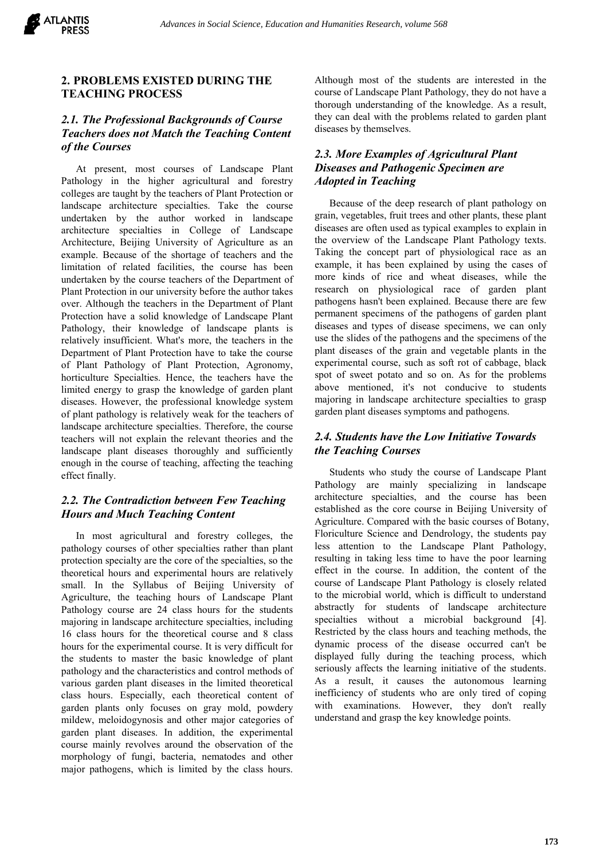

#### **2. PROBLEMS EXISTED DURING THE TEACHING PROCESS**

#### *2.1. The Professional Backgrounds of Course Teachers does not Match the Teaching Content of the Courses*

At present, most courses of Landscape Plant Pathology in the higher agricultural and forestry colleges are taught by the teachers of Plant Protection or landscape architecture specialties. Take the course undertaken by the author worked in landscape architecture specialties in College of Landscape Architecture, Beijing University of Agriculture as an example. Because of the shortage of teachers and the limitation of related facilities, the course has been undertaken by the course teachers of the Department of Plant Protection in our university before the author takes over. Although the teachers in the Department of Plant Protection have a solid knowledge of Landscape Plant Pathology, their knowledge of landscape plants is relatively insufficient. What's more, the teachers in the Department of Plant Protection have to take the course of Plant Pathology of Plant Protection, Agronomy, horticulture Specialties. Hence, the teachers have the limited energy to grasp the knowledge of garden plant diseases. However, the professional knowledge system of plant pathology is relatively weak for the teachers of landscape architecture specialties. Therefore, the course teachers will not explain the relevant theories and the landscape plant diseases thoroughly and sufficiently enough in the course of teaching, affecting the teaching effect finally.

#### *2.2. The Contradiction between Few Teaching Hours and Much Teaching Content*

In most agricultural and forestry colleges, the pathology courses of other specialties rather than plant protection specialty are the core of the specialties, so the theoretical hours and experimental hours are relatively small. In the Syllabus of Beijing University of Agriculture, the teaching hours of Landscape Plant Pathology course are 24 class hours for the students majoring in landscape architecture specialties, including 16 class hours for the theoretical course and 8 class hours for the experimental course. It is very difficult for the students to master the basic knowledge of plant pathology and the characteristics and control methods of various garden plant diseases in the limited theoretical class hours. Especially, each theoretical content of garden plants only focuses on gray mold, powdery mildew, meloidogynosis and other major categories of garden plant diseases. In addition, the experimental course mainly revolves around the observation of the morphology of fungi, bacteria, nematodes and other major pathogens, which is limited by the class hours.

Although most of the students are interested in the course of Landscape Plant Pathology, they do not have a thorough understanding of the knowledge. As a result, they can deal with the problems related to garden plant diseases by themselves.

## *2.3. More Examples of Agricultural Plant Diseases and Pathogenic Specimen are Adopted in Teaching*

Because of the deep research of plant pathology on grain, vegetables, fruit trees and other plants, these plant diseases are often used as typical examples to explain in the overview of the Landscape Plant Pathology texts. Taking the concept part of physiological race as an example, it has been explained by using the cases of more kinds of rice and wheat diseases, while the research on physiological race of garden plant pathogens hasn't been explained. Because there are few permanent specimens of the pathogens of garden plant diseases and types of disease specimens, we can only use the slides of the pathogens and the specimens of the plant diseases of the grain and vegetable plants in the experimental course, such as soft rot of cabbage, black spot of sweet potato and so on. As for the problems above mentioned, it's not conducive to students majoring in landscape architecture specialties to grasp garden plant diseases symptoms and pathogens.

## *2.4. Students have the Low Initiative Towards the Teaching Courses*

Students who study the course of Landscape Plant Pathology are mainly specializing in landscape architecture specialties, and the course has been established as the core course in Beijing University of Agriculture. Compared with the basic courses of Botany, Floriculture Science and Dendrology, the students pay less attention to the Landscape Plant Pathology, resulting in taking less time to have the poor learning effect in the course. In addition, the content of the course of Landscape Plant Pathology is closely related to the microbial world, which is difficult to understand abstractly for students of landscape architecture specialties without a microbial background [4]. Restricted by the class hours and teaching methods, the dynamic process of the disease occurred can't be displayed fully during the teaching process, which seriously affects the learning initiative of the students. As a result, it causes the autonomous learning inefficiency of students who are only tired of coping with examinations. However, they don't really understand and grasp the key knowledge points.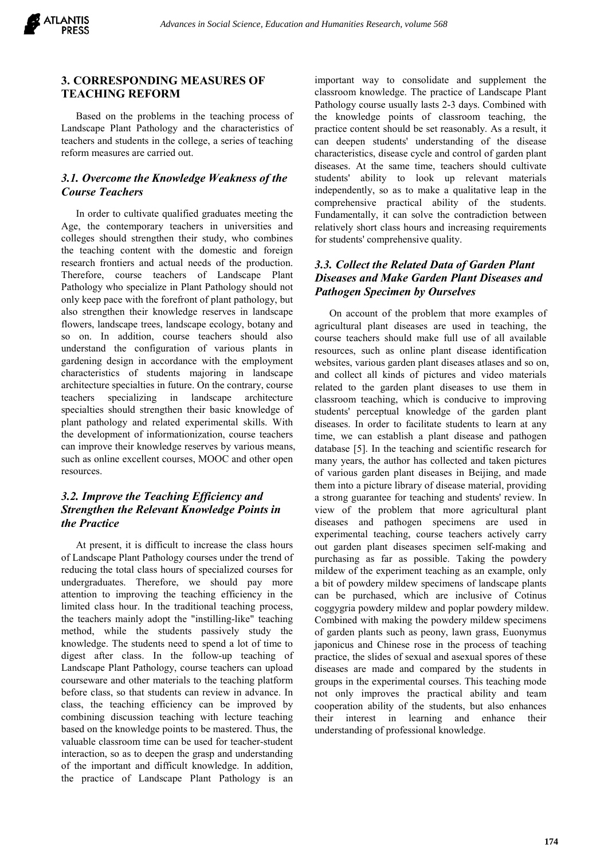

#### **3. CORRESPONDING MEASURES OF TEACHING REFORM**

Based on the problems in the teaching process of Landscape Plant Pathology and the characteristics of teachers and students in the college, a series of teaching reform measures are carried out.

#### *3.1. Overcome the Knowledge Weakness of the Course Teachers*

In order to cultivate qualified graduates meeting the Age, the contemporary teachers in universities and colleges should strengthen their study, who combines the teaching content with the domestic and foreign research frontiers and actual needs of the production. Therefore, course teachers of Landscape Plant Pathology who specialize in Plant Pathology should not only keep pace with the forefront of plant pathology, but also strengthen their knowledge reserves in landscape flowers, landscape trees, landscape ecology, botany and so on. In addition, course teachers should also understand the configuration of various plants in gardening design in accordance with the employment characteristics of students majoring in landscape architecture specialties in future. On the contrary, course teachers specializing in landscape architecture specialties should strengthen their basic knowledge of plant pathology and related experimental skills. With the development of informationization, course teachers can improve their knowledge reserves by various means, such as online excellent courses, MOOC and other open resources.

## *3.2. Improve the Teaching Efficiency and Strengthen the Relevant Knowledge Points in the Practice*

At present, it is difficult to increase the class hours of Landscape Plant Pathology courses under the trend of reducing the total class hours of specialized courses for undergraduates. Therefore, we should pay more attention to improving the teaching efficiency in the limited class hour. In the traditional teaching process, the teachers mainly adopt the "instilling-like" teaching method, while the students passively study the knowledge. The students need to spend a lot of time to digest after class. In the follow-up teaching of Landscape Plant Pathology, course teachers can upload courseware and other materials to the teaching platform before class, so that students can review in advance. In class, the teaching efficiency can be improved by combining discussion teaching with lecture teaching based on the knowledge points to be mastered. Thus, the valuable classroom time can be used for teacher-student interaction, so as to deepen the grasp and understanding of the important and difficult knowledge. In addition, the practice of Landscape Plant Pathology is an

important way to consolidate and supplement the classroom knowledge. The practice of Landscape Plant Pathology course usually lasts 2-3 days. Combined with the knowledge points of classroom teaching, the practice content should be set reasonably. As a result, it can deepen students' understanding of the disease characteristics, disease cycle and control of garden plant diseases. At the same time, teachers should cultivate students' ability to look up relevant materials independently, so as to make a qualitative leap in the comprehensive practical ability of the students. Fundamentally, it can solve the contradiction between relatively short class hours and increasing requirements for students' comprehensive quality.

## *3.3. Collect the Related Data of Garden Plant Diseases and Make Garden Plant Diseases and Pathogen Specimen by Ourselves*

On account of the problem that more examples of agricultural plant diseases are used in teaching, the course teachers should make full use of all available resources, such as online plant disease identification websites, various garden plant diseases atlases and so on, and collect all kinds of pictures and video materials related to the garden plant diseases to use them in classroom teaching, which is conducive to improving students' perceptual knowledge of the garden plant diseases. In order to facilitate students to learn at any time, we can establish a plant disease and pathogen database [5]. In the teaching and scientific research for many years, the author has collected and taken pictures of various garden plant diseases in Beijing, and made them into a picture library of disease material, providing a strong guarantee for teaching and students' review. In view of the problem that more agricultural plant diseases and pathogen specimens are used in experimental teaching, course teachers actively carry out garden plant diseases specimen self-making and purchasing as far as possible. Taking the powdery mildew of the experiment teaching as an example, only a bit of powdery mildew specimens of landscape plants can be purchased, which are inclusive of Cotinus coggygria powdery mildew and poplar powdery mildew. Combined with making the powdery mildew specimens of garden plants such as peony, lawn grass, Euonymus japonicus and Chinese rose in the process of teaching practice, the slides of sexual and asexual spores of these diseases are made and compared by the students in groups in the experimental courses. This teaching mode not only improves the practical ability and team cooperation ability of the students, but also enhances their interest in learning and enhance their understanding of professional knowledge.